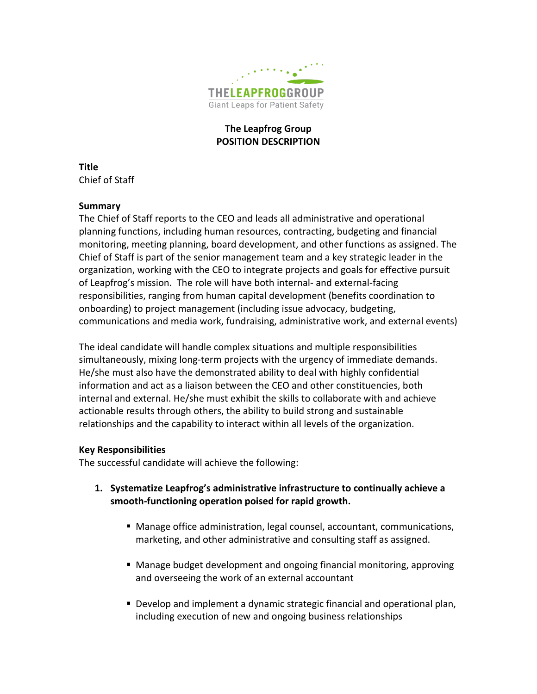

# **The Leapfrog Group POSITION DESCRIPTION**

**Title** Chief of Staff

#### **Summary**

The Chief of Staff reports to the CEO and leads all administrative and operational planning functions, including human resources, contracting, budgeting and financial monitoring, meeting planning, board development, and other functions as assigned. The Chief of Staff is part of the senior management team and a key strategic leader in the organization, working with the CEO to integrate projects and goals for effective pursuit of Leapfrog's mission. The role will have both internal- and external-facing responsibilities, ranging from human capital development (benefits coordination to onboarding) to project management (including issue advocacy, budgeting, communications and media work, fundraising, administrative work, and external events)

The ideal candidate will handle complex situations and multiple responsibilities simultaneously, mixing long-term projects with the urgency of immediate demands. He/she must also have the demonstrated ability to deal with highly confidential information and act as a liaison between the CEO and other constituencies, both internal and external. He/she must exhibit the skills to collaborate with and achieve actionable results through others, the ability to build strong and sustainable relationships and the capability to interact within all levels of the organization.

#### **Key Responsibilities**

The successful candidate will achieve the following:

- **1. Systematize Leapfrog's administrative infrastructure to continually achieve a smooth-functioning operation poised for rapid growth.**
	- Manage office administration, legal counsel, accountant, communications, marketing, and other administrative and consulting staff as assigned.
	- Manage budget development and ongoing financial monitoring, approving and overseeing the work of an external accountant
	- Develop and implement a dynamic strategic financial and operational plan, including execution of new and ongoing business relationships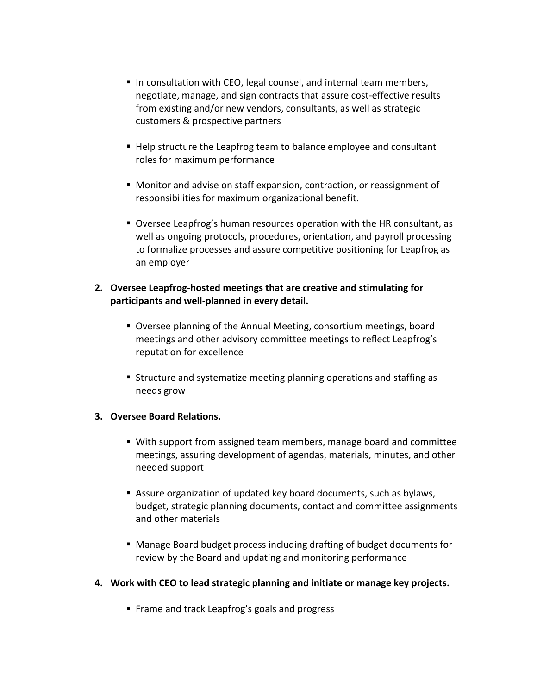- In consultation with CEO, legal counsel, and internal team members, negotiate, manage, and sign contracts that assure cost-effective results from existing and/or new vendors, consultants, as well as strategic customers & prospective partners
- Help structure the Leapfrog team to balance employee and consultant roles for maximum performance
- Monitor and advise on staff expansion, contraction, or reassignment of responsibilities for maximum organizational benefit.
- Oversee Leapfrog's human resources operation with the HR consultant, as well as ongoing protocols, procedures, orientation, and payroll processing to formalize processes and assure competitive positioning for Leapfrog as an employer
- **2. Oversee Leapfrog-hosted meetings that are creative and stimulating for participants and well-planned in every detail.**
	- Oversee planning of the Annual Meeting, consortium meetings, board meetings and other advisory committee meetings to reflect Leapfrog's reputation for excellence
	- Structure and systematize meeting planning operations and staffing as needs grow

# **3. Oversee Board Relations.**

- With support from assigned team members, manage board and committee meetings, assuring development of agendas, materials, minutes, and other needed support
- Assure organization of updated key board documents, such as bylaws, budget, strategic planning documents, contact and committee assignments and other materials
- Manage Board budget process including drafting of budget documents for review by the Board and updating and monitoring performance

# **4. Work with CEO to lead strategic planning and initiate or manage key projects.**

■ Frame and track Leapfrog's goals and progress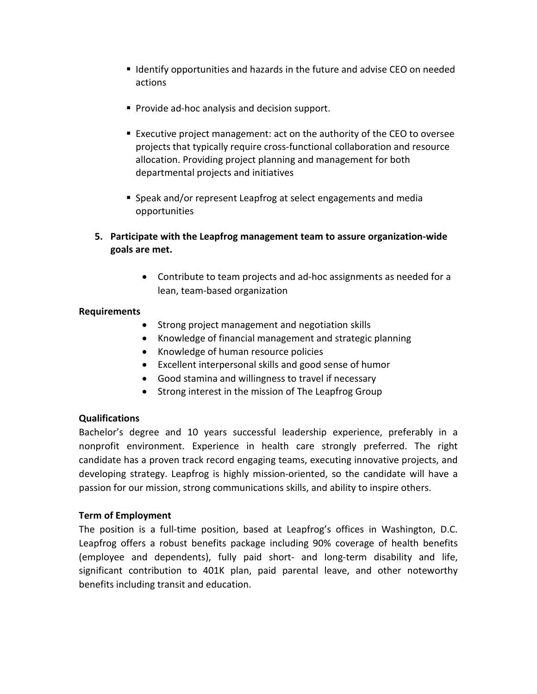- I Identify opportunities and hazards in the future and advise CEO on needed actions
- **Provide ad-hoc analysis and decision support.**
- Executive project management: act on the authority of the CEO to oversee projects that typically require cross-functional collaboration and resource allocation. Providing project planning and management for both departmental projects and initiatives
- Speak and/or represent Leapfrog at select engagements and media opportunities
- **5. Participate with the Leapfrog management team to assure organization-wide goals are met.**
	- Contribute to team projects and ad-hoc assignments as needed for a lean, team-based organization

#### **Requirements**

- Strong project management and negotiation skills
- Knowledge of financial management and strategic planning
- Knowledge of human resource policies
- Excellent interpersonal skills and good sense of humor
- Good stamina and willingness to travel if necessary
- Strong interest in the mission of The Leapfrog Group

# **Qualifications**

Bachelor's degree and 10 years successful leadership experience, preferably in a nonprofit environment. Experience in health care strongly preferred. The right candidate has a proven track record engaging teams, executing innovative projects, and developing strategy. Leapfrog is highly mission-oriented, so the candidate will have a passion for our mission, strong communications skills, and ability to inspire others.

# **Term of Employment**

The position is a full-time position, based at Leapfrog's offices in Washington, D.C. Leapfrog offers a robust benefits package including 90% coverage of health benefits (employee and dependents), fully paid short- and long-term disability and life, significant contribution to 401K plan, paid parental leave, and other noteworthy benefits including transit and education.